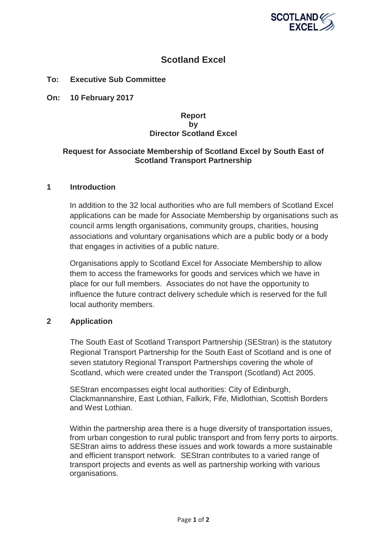

# **Scotland Excel**

# **To: Executive Sub Committee**

**On: 10 February 2017**

## **Report by Director Scotland Excel**

## **Request for Associate Membership of Scotland Excel by South East of Scotland Transport Partnership**

#### **1 Introduction**

In addition to the 32 local authorities who are full members of Scotland Excel applications can be made for Associate Membership by organisations such as council arms length organisations, community groups, charities, housing associations and voluntary organisations which are a public body or a body that engages in activities of a public nature.

Organisations apply to Scotland Excel for Associate Membership to allow them to access the frameworks for goods and services which we have in place for our full members. Associates do not have the opportunity to influence the future contract delivery schedule which is reserved for the full local authority members.

## **2 Application**

The South East of Scotland Transport Partnership (SEStran) is the statutory Regional Transport Partnership for the South East of Scotland and is one of seven statutory Regional Transport Partnerships covering the whole of Scotland, which were created under the Transport (Scotland) Act 2005.

SEStran encompasses eight local authorities: City of Edinburgh, Clackmannanshire, East Lothian, Falkirk, Fife, Midlothian, Scottish Borders and West Lothian.

Within the partnership area there is a huge diversity of transportation issues, from urban congestion to rural public transport and from ferry ports to airports. SEStran aims to address these issues and work towards a more sustainable and efficient transport network. SEStran contributes to a varied range of transport projects and events as well as partnership working with various organisations.